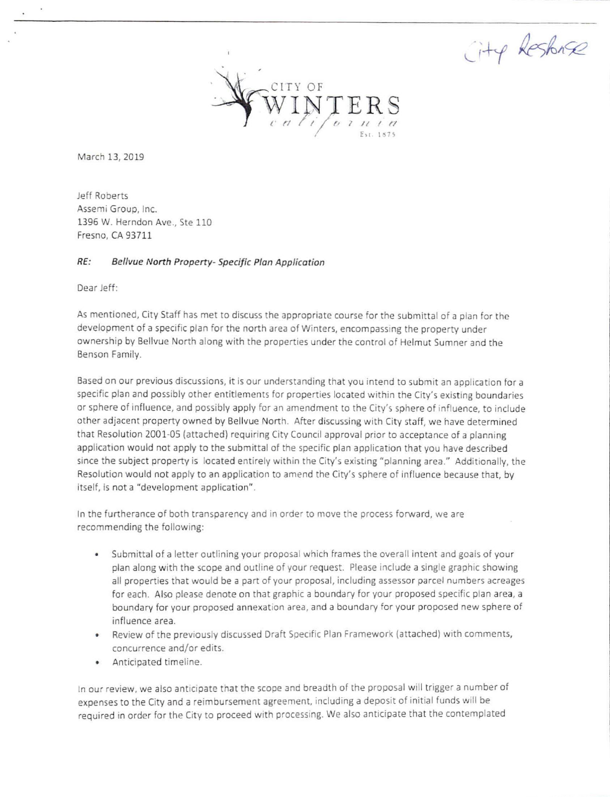City Response



March 13. 2019

Jeff Roberts Assemi Group, Inc. 1396 W. Herndon Ave., Ste 110 Fresno, CA 93711

#### RE: Bellvue North Property- Specific Plan Application

Dear Jeff;

As mentioned. City Staff has met to discuss the appropriate course for the submittal of a plan for the development of a specific plan for the north area of Winters, encompassing the property under ownership by Bellvue North along with the properties under the control of Helmut Sumner and the Benson Family.

Based on our previous discussions, it is our understanding that you intend to submit an application for a specific plan and possibly other entitlements for properties located within the City's existing boundaries or sphere of influence, and possibly apply for an amendment to the City's sphere of influence, to include other adjacent property owned by Bellvue North. After discussing with City staff, we have determined that Resolution 2001-05 (attached) requiring City Council approval prior to acceptance of a planning application would not apply to the submittal of the specific plan application that you have described since the subject property is located entirely within the City's existing "planning area." Additionally, the Resolution would not apply to an application to amend the City's sphere of influence because that, by itself, is not a "development application".

In the furtherance of both transparency and in order to move the process forward, we are recommending the following:

- Submittal of a letter outlining your proposal which frames the overall intent and goals of your plan along with the scope and outline of your request. Please include a single graphic showing ail properties that would be a part of your proposal, including assessor parcel numbers acreages for each. Also please denote on that graphic a boundary for your proposed specific plan area, a boundary for your proposed annexation area, and a boundary for your proposed new sphere of influence area.
- Review of the previously discussed Draft Specific Plan Framework (attached) with comments, concurrence and/or edits.
- Anticipated timeline.

In our review, we also anticipate that the scope and breadth of the proposal will trigger a number of expenses to the City and a reimbursement agreement, including a depositof initial funds will be required in order for the City to proceed with processing. We also anticipate that the contemplated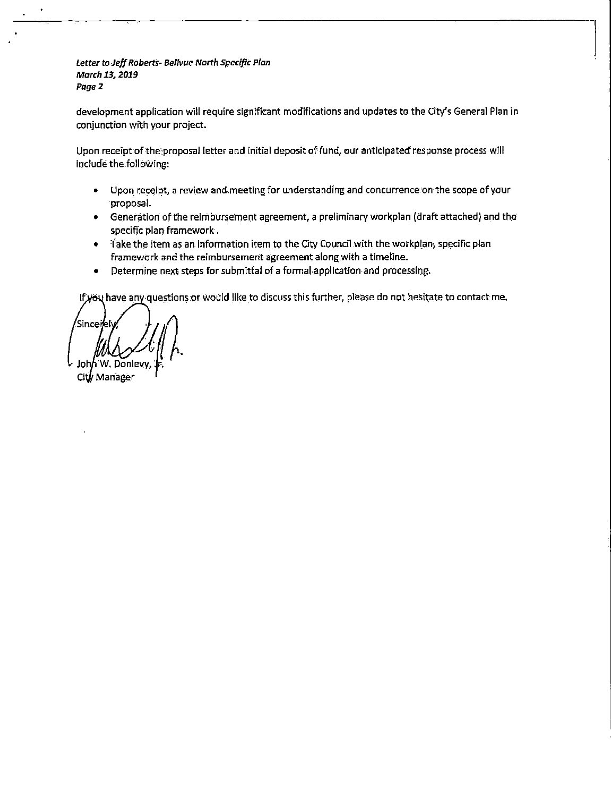Letter to Jeff Roberts- Bellvue North Specific Plan March 13,2019 Page 2

development application will require significant modifications and updates to the City's General Plan in conjunction with your project.

Upon receipt of the proposal letter and initial deposit of fund, our anticipated response process will Include the following:

- Upon receipt, a review and meeting for understanding and concurrence on the scope of your proposal.
- Generation ofthe reimbursement agreement, a preliminary workplan (draft attached) and the specific plan framework.
- $\bullet$   $\bullet$  fake the item as an information item to the City Council with the workplan, specific plan framework and the reimbursement agreement along.with a timeline.
- Determine next steps for submittal of a formal-application and processing.

have any questions or would like to discuss this further, please do not hesitate to contact me.

Sincei ρľ Donley City Manager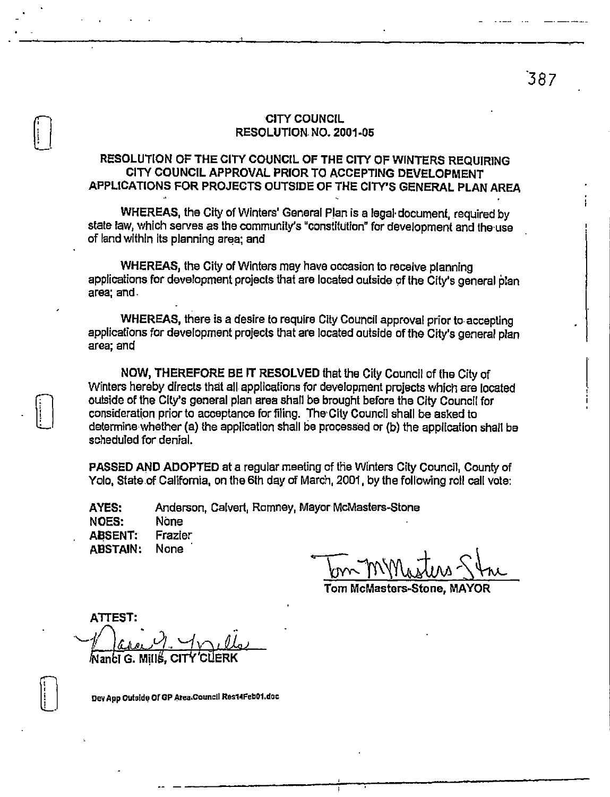## CITY COUNCIL RESOLUTION. NO. 2001-05

# RESOLUTION OF THE CITY COUNCIL OF THE CITY OF WINTERS REQUIRING CITY COUNCIL APPROVAL PRIOR TO ACCEPTING DEVELOPMENT APPLICATIONS FOR PROJECTS OUTSIDE OF THE CITY'S GENERAL PLANAREA

WHEREAS, the City of Winters' General Plan is a legal-document, required by state law, which serves as the community's "constitution" for development and the use of landwithin its planning area; and

WHEREAS, the City of Winters may have occasion to receive planning applications for development projects that are located outside of the City's general plan area; and-

WHEREAS, there is a desire to require City Council approval prior to accepting applications for development projects that are located outside of the City's general plan area; and

NOW, THEREFORE BE IT RESOLVED that the City Council of the City of Winters hereby directs that all applications for development projects which are located outside of the City's general plan area shall be brought before the City Councilfor consideration prior to acceptance forfiling. The'City Council shall be asked to determine whether (a) the application shall be processed or (b) the application shall ba scheduled for denial.

PASSED AND ADOPTED at a regular meeting of the Winters City Council. County of Yolo, State of California, on the 6th day of March, 2001, by the following roll call vote:

AYES: Anderson, Calvert, Romney, Mayor McMasters-Stone NOES; None ABSENT: Frazier ABSTAIN: None '

Tom McMasters-Stone, MAYOR

ATTEST:  $\Delta$ ulle lanci G. M

Dev App Outside Of GP Area.Council Res14Feb01.doc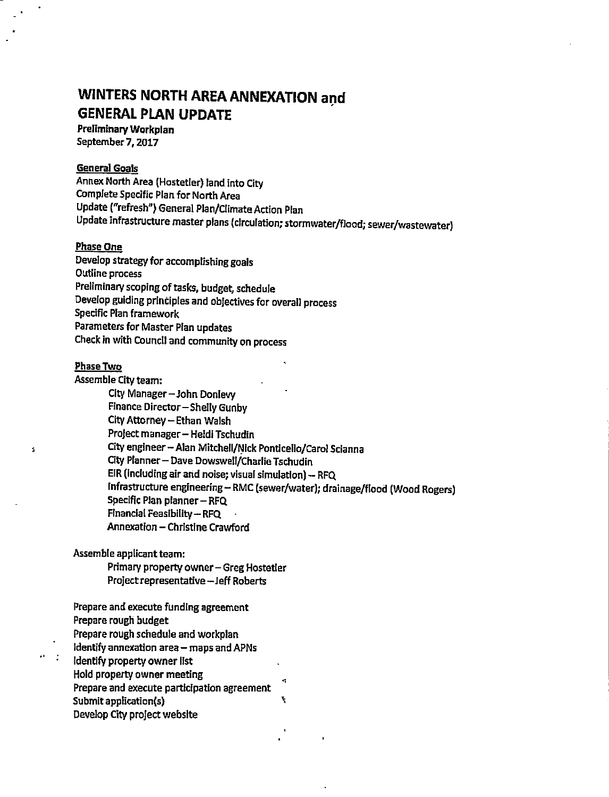# WINTERS NORTH AREA ANNEXATION and GENERAL PLAN UPDATE

Preliminary Workplan September?, 2017

#### General Goals

Annex North Area (Hostetler) land into City Complete Specific Plan for North Area Update ("refresh") General Plan/Climate Action Plan Update infrastructure master plans (circulation;stormwater/flood;sewer/wastewater)

#### Phase One

Develop strategy for accomplishing goals Outline process Preliminary scoping of tasks, budget, schedule Develop guiding principles and objectives for overall process Specific Plan framework Parameters for Master Plan updates Check In with Council and community on process

#### Phase Two

ś

 $\bullet$   $\bullet$ 

Assemble City team:

City Manager-John Donlevy Finance Director-Shelly Gunby City Attorney - Ethan Walsh Project manager - Heidi Tschudin City engineer-Alan Mitchell/Nick Ponticello/Carol Scianna City Planner - Dave Dowswell/Charlie Tschudin EIR (including air and noise; visual simulation) - RFQ infrastructure engineering- RMC (sewer/water); dralnage/fiood (Wood Rogers) Specific Plan planner $-$ RFQ Financial Feasibility  $-$  RFQ Annexation - Christine Crawford

Assemble applicant team:

Primary property owner- Greg Hostetler Project representative - Jeff Roberts

Prepare and execute funding agreement Prepare rough budget Prepare rough schedule and workplan Identify annexation area - maps and APNs identify property owner list Hold property owner meeting Prepare and execute participation agreement Submit appiication(5) ^ Develop City project website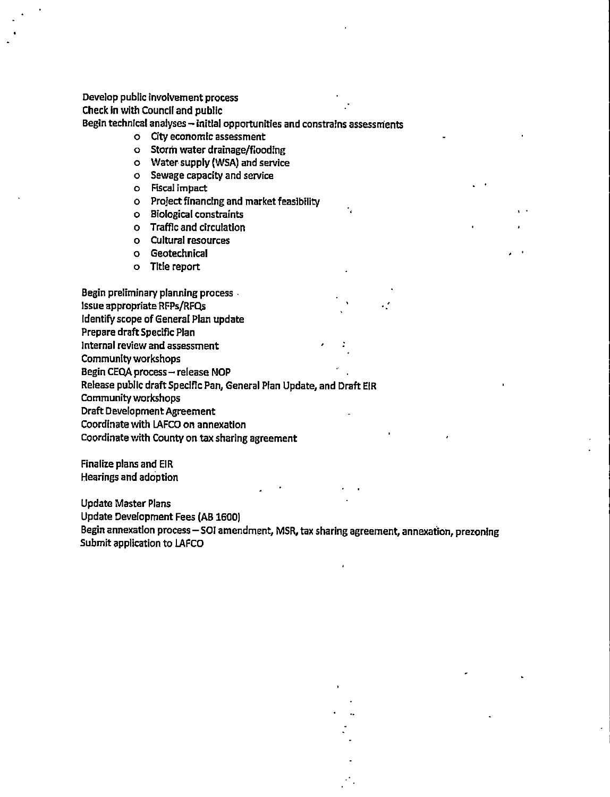Develop public Involvement process Check in with Council and public

Begintechnical analyses ~ initial opportunities and constrains assessments

- o City economic assessment
- o Storm water drainage/flooding
- o Watersupply (WSA) and service
- o Sewage capacity and service
- o Fiscal Impact
- o Project financing and market feasibility
- o Biological constraints
- 0 Traffic and circulation
- o Cultural resources
- o Geotechnical
- o Title report

Begin preliminary planning process Issue appropriate RFPs/RFQs Identify scope of General Plan update Prepare draft Specific Plan Internal review and assessment Community workshops Begin CEQA process - release NOP Release public draft Specific Pan, General Plan Update, and Draft EIR Community workshops Draft Development Agreement Coordinate with LAFCO on annexation Coordinate with Countyon tax sharing agreement

Finalize plans and EIR Hearings and adoption

Update Master Plans

Update Development Fees (AB1600]

Begin annexation process- SOI amendment, MSR, taxsharing agreement, annexation, prezoning Submit application to LAFCO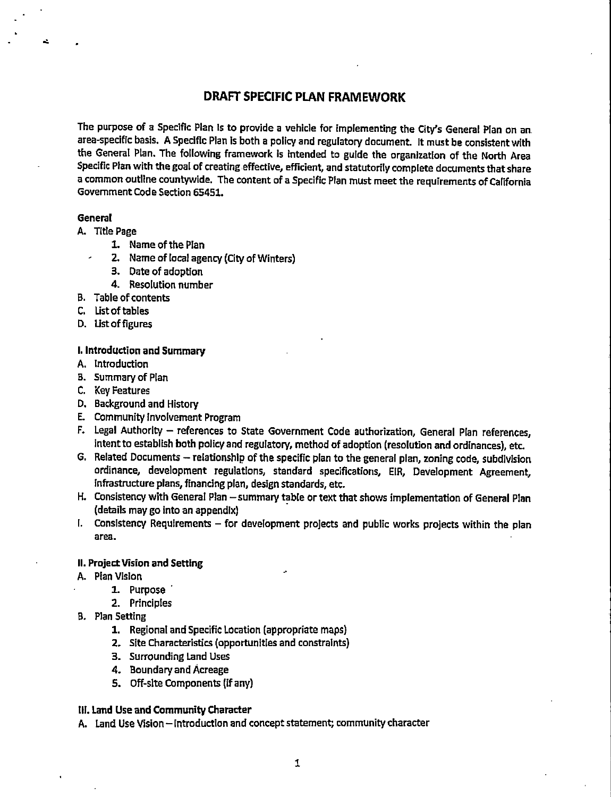## DRAFT SPECIFIC PLAN FRAMEWORK

The purpose of a Specific Plan Is to provide a vehicle for implementing the City's General Plan on an area-specific basis. A Specific Plan is both a policy and regulatory document. It must be consistent with the General Plan. The following framework is intended to guide the organization of the North Area Specific Plan with the goal of creating effective, efficient, and statutorily complete documents that share a common outline countywide. The content of a Specific Plan must meet the requirements of California Government Code Section 65451.

#### General

- A. Title Page
	- 1. Name ofthe Plan
	- 2. Name of local agency (City of Winters)
		- 3. Date of adoption
		- 4. Resolution number
- B. Table of contents
- C. list of tables
- D. Ust of figures

#### I.Introduction and Summary

- A. Introduction
- B. Summary of Plan
- C. Key Features
- D. Background and History
- E. Community Involvement Program
- F. Legal Authority references to State Government Code authorization, General Plan references, intent to establish both policy and regulatory, method of adoption (resolution and ordinances), etc.
- G. Related Documents —relationship of the specific plan to the general plan, zoning code, subdivision ordinance, development regulations, standard specifications, EIR, Development Agreement, Infrastructure plans, financing plan, design standards, etc.
- H. Consistency with General Plan summary table or text that shows implementation of General Plan (details may go into an appendix)
- I. Consistency Requirements for development projects and public works projects within the plan area.

#### II. Project Vision and Setting

- A. Plan Vision
	- 1. Purpose '
	- 2. Principles
- B. Plan Setting
	- 1. Regional and Specific Location (appropriate maps)
	- 2. Site Characteristics (opportunities and constraints)
	- 3. Surrounding Land Uses
	- 4. Boundary and Acreage
	- 5. Off-site Components (ifany)

#### III. Land Use and Community Character

A. Land Use Vision - Introduction and concept statement; community character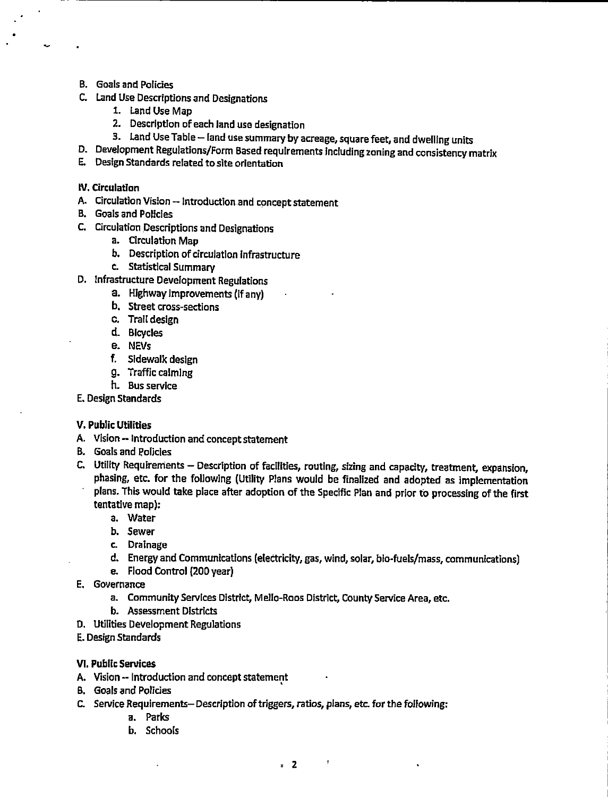- B. Goals and Policies
- C. LandUse Descriptions and Designations
	- 1. Land Use Map
	- 2. Description of each land use designation
	- 3. Land Use Table land use summary by acreage, square feet, and dwelling units

D. Development Regulations/Form Based requirements including zoning and consistency matrix

- E. Design Standards related to site orientation
- IV, Circulation
- A. Circulation Vision -- Introduction and concept statement
- B. Goals and Policies
- C. Circulation Descriptions and Designations
	- a. Circulation Map
	- b. Description of circulation infrastructure
	- c. Statistical Summary
- D. Infrastructure Development Regulations
	- a. Highway improvements (If any)
	- b. Street cross-sections
	- c. Trail design
	- d. Bicycles
	- e. NEVs
	- f. Sidewalk design
	- g. Traffic calming
	- h. Bus service
- E. Design Standards

#### V. Public Utilities

- A. Vision -- Introduction and concept statement
- B. Goals and Policies
- C. Utility Requirements Description of facilities, routing, sizing and capacity, treatment, expansion, phasing, etc. for the following (Utility Plans would be finalized and adopted as implementation plans. This would take place after adoption of the Specific Plan and prior to processing ofthe first tentative map):
	- a. Water
	- b. Sewer
	- c. Drainage
	- d. Energy and Communications (electricity, gas, wind, solar, bio-fuels/mass, communications)
	- e. Flood Control {200year)
- E. Governance
	- a. Community Services District, Mello-Roos District, County Service Area, etc.
	- b. Assessment Districts
- D. Utilities Development Regulations
- E. Design Standards

#### Vi. Public Services

- A. Vision- Introduction and concept statement
- B. Goals and Policies
- C. Service Requirements-Description of triggers, ratios, plans, etc. for the following:
	- a. Parks
	- b. Schools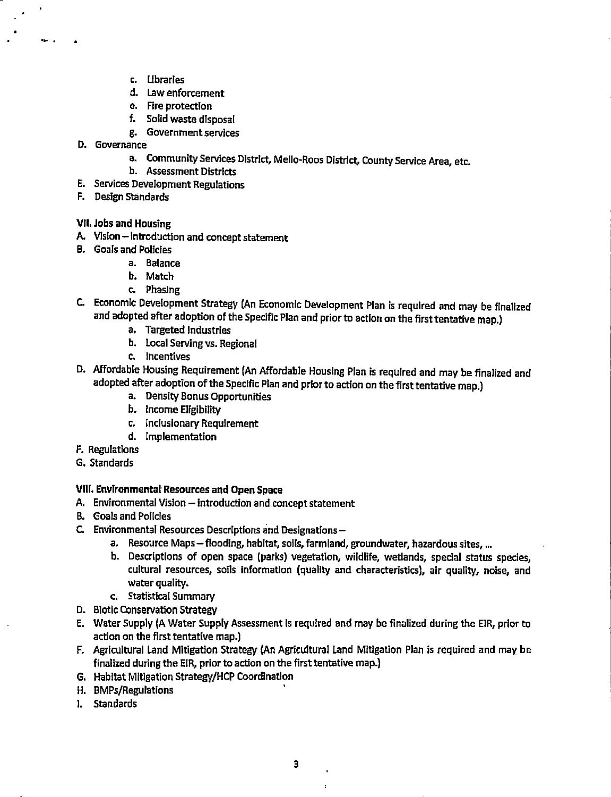- c. Libraries
- d. Law enforcement
- e. Fire protection
- f. Solid waste disposal
- g. Governmentservices
- D. Governance
	- a. Community Services District, Mello-Roos District, County Service Area, etc.
	- b. Assessment Districts
- E. Services Deveiopment Regulations
- F. Design Standards

#### VII. Jobs and Housing

- A. Vision introduction and concept statement
- B. Goals and Policies
	- a. Balance
	- b. Match
	- c. Phasing
- C Economic Development Strategy (An Economic Development Plan is required and may be finalized and adopted after adoption of the Specific Plan and prior to action on the first tentative map.)
	- a. Targeted Industries
	- b. Local Serving vs. Regional
	- c. Incentives
- D. Affordable Housing Requirement (An Affordable Housing Plan is required and may be finalized and adopted after adoption of the Specific Plan and prior to action on the first tentative map.)
	- a. Density Bonus Opportunities
	- b. income Eligibility
	- c. Inciusionary Requirement
	- d. Implementation
- F. Regulations
- G. Standards

#### Vlii. Environmenta! Resources and Open Space

- A. Environmental Vision introduction and concept statement
- B. Goals and Policies
- C. Environmental Resources Descriptions and Designations
	- a. Resource Maps-flooding, habitat, soils, farmland, groundwater, hazardous sites,...
	- b. Descriptions of open space (parks) vegetation, wildlife, wetlands, spedai status species, cultural resources, soiis information (quality and characteristics), air quality, noise, and water quality.
	- c. Statistical Summary
- D. Blotic Conservation Strategy
- E. Water Supply (AWater Supply Assessment is required and may be finalized during the EiR, prior to action on the first tentative map.)
- F. Agricultural Land Mitigation Strategy (An Agricultural Land Mitigation Plan is required and may be finalized during the EiR, prior to action on the first tentative map.)
- G. Habitat Mitigation Strategy/HCP Coordination
- H. BMPs/Reguiations
- I. Standards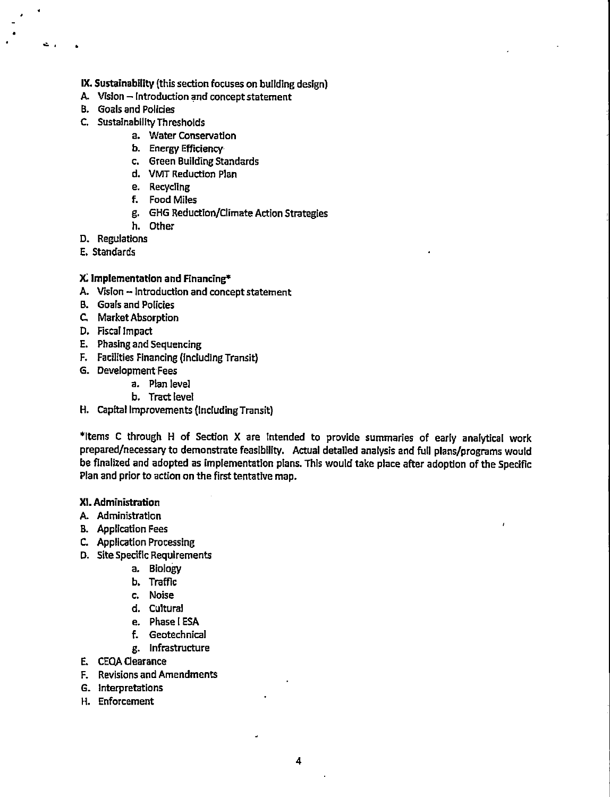- IX. Sustainability (this section focuses on building design)
- A. Vision Introduction and concept statement
- B. Goals and Policies
- C. SustainabilityThresholds
	- a. Water Conservation
	- b. Energy Efficiency
	- c. Green Building Standards
	- d. VMT Reduction Plan
	- e. Recycling
	- f. Food Miles
	- g. GHG Reductlon/CilmateAction Strategies
	- h. Other
- D. Regulations
- E. Standards

#### Implementation and Financing\*

- A. Vision -- Introduction and concept statement
- B. Goals and Policies
- C Market Absorption
- D. Fiscal Impact
- E. Phasing and Sequencing
- F. Facilities Financing (including Transit)
- G. Development Fees
	- a. Plan level
	- b. Tract level
- H. Capital Improvements (Including Transit)

\*ltems C through H of Section X are Intended to provide summaries of early analytical work prepared/necessary to demonstrate feasibility. Actual detailed analysis and full plans/programs would be finalized and adopted as implementation plans. This would take place after adoption of the Specific Plan and prior to action on the first tentative map.

#### Xl. Administration

- A. Administration
- B. Application Fees
- C. Application Processing
- D. Site Specific Requirements
	- a. Biology
	- b. Traffic
	- c. Noise
	- d. Cultural
	- e. Phase IESA
	- f. Geotechnical
	- g. Infrastructure
- E. CEQA Clearance
- F. Revisions and Amendments
- G. Interpretations
- H. Enforcement